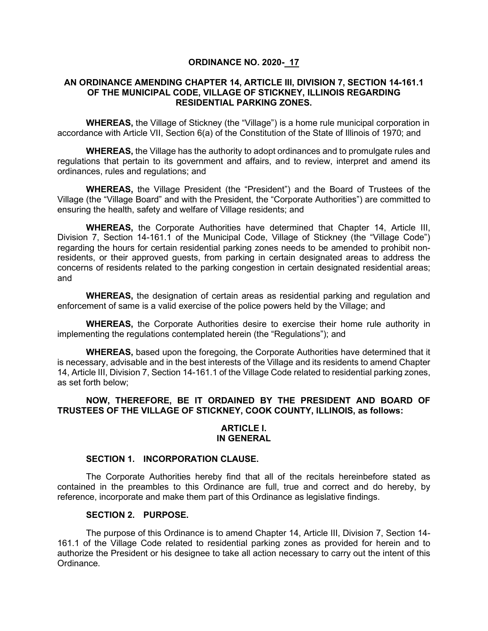## **ORDINANCE NO. 2020- 17**

### **AN ORDINANCE AMENDING CHAPTER 14, ARTICLE III, DIVISION 7, SECTION 14-161.1 OF THE MUNICIPAL CODE, VILLAGE OF STICKNEY, ILLINOIS REGARDING RESIDENTIAL PARKING ZONES.**

**WHEREAS,** the Village of Stickney (the "Village") is a home rule municipal corporation in accordance with Article VII, Section 6(a) of the Constitution of the State of Illinois of 1970; and

**WHEREAS,** the Village has the authority to adopt ordinances and to promulgate rules and regulations that pertain to its government and affairs, and to review, interpret and amend its ordinances, rules and regulations; and

**WHEREAS,** the Village President (the "President") and the Board of Trustees of the Village (the "Village Board" and with the President, the "Corporate Authorities") are committed to ensuring the health, safety and welfare of Village residents; and

**WHEREAS,** the Corporate Authorities have determined that Chapter 14, Article III, Division 7, Section 14-161.1 of the Municipal Code, Village of Stickney (the "Village Code") regarding the hours for certain residential parking zones needs to be amended to prohibit nonresidents, or their approved guests, from parking in certain designated areas to address the concerns of residents related to the parking congestion in certain designated residential areas; and

**WHEREAS,** the designation of certain areas as residential parking and regulation and enforcement of same is a valid exercise of the police powers held by the Village; and

**WHEREAS,** the Corporate Authorities desire to exercise their home rule authority in implementing the regulations contemplated herein (the "Regulations"); and

**WHEREAS,** based upon the foregoing, the Corporate Authorities have determined that it is necessary, advisable and in the best interests of the Village and its residents to amend Chapter 14, Article III, Division 7, Section 14-161.1 of the Village Code related to residential parking zones, as set forth below;

## **NOW, THEREFORE, BE IT ORDAINED BY THE PRESIDENT AND BOARD OF TRUSTEES OF THE VILLAGE OF STICKNEY, COOK COUNTY, ILLINOIS, as follows:**

#### **ARTICLE I. IN GENERAL**

#### **SECTION 1. INCORPORATION CLAUSE.**

The Corporate Authorities hereby find that all of the recitals hereinbefore stated as contained in the preambles to this Ordinance are full, true and correct and do hereby, by reference, incorporate and make them part of this Ordinance as legislative findings.

#### **SECTION 2. PURPOSE.**

The purpose of this Ordinance is to amend Chapter 14, Article III, Division 7, Section 14- 161.1 of the Village Code related to residential parking zones as provided for herein and to authorize the President or his designee to take all action necessary to carry out the intent of this Ordinance.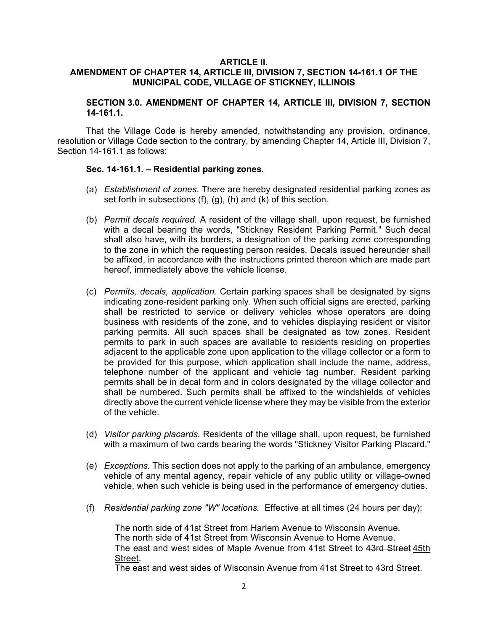## **ARTICLE II.**

# **AMENDMENT OF CHAPTER 14, ARTICLE III, DIVISION 7, SECTION 14-161.1 OF THE MUNICIPAL CODE, VILLAGE OF STICKNEY, ILLINOIS**

## **SECTION 3.0. AMENDMENT OF CHAPTER 14, ARTICLE III, DIVISION 7, SECTION 14-161.1.**

That the Village Code is hereby amended, notwithstanding any provision, ordinance, resolution or Village Code section to the contrary, by amending Chapter 14, Article III, Division 7, Section 14-161.1 as follows:

### **Sec. 14-161.1. – Residential parking zones.**

- (a) *Establishment of zones*. There are hereby designated residential parking zones as set forth in subsections (f), (g), (h) and (k) of this section.
- (b) *Permit decals required.* A resident of the village shall, upon request, be furnished with a decal bearing the words, "Stickney Resident Parking Permit." Such decal shall also have, with its borders, a designation of the parking zone corresponding to the zone in which the requesting person resides. Decals issued hereunder shall be affixed, in accordance with the instructions printed thereon which are made part hereof, immediately above the vehicle license.
- (c) *Permits, decals, application.* Certain parking spaces shall be designated by signs indicating zone-resident parking only. When such official signs are erected, parking shall be restricted to service or delivery vehicles whose operators are doing business with residents of the zone, and to vehicles displaying resident or visitor parking permits. All such spaces shall be designated as tow zones. Resident permits to park in such spaces are available to residents residing on properties adjacent to the applicable zone upon application to the village collector or a form to be provided for this purpose, which application shall include the name, address, telephone number of the applicant and vehicle tag number. Resident parking permits shall be in decal form and in colors designated by the village collector and shall be numbered. Such permits shall be affixed to the windshields of vehicles directly above the current vehicle license where they may be visible from the exterior of the vehicle.
- (d) *Visitor parking placards.* Residents of the village shall, upon request, be furnished with a maximum of two cards bearing the words "Stickney Visitor Parking Placard."
- (e) *Exceptions.* This section does not apply to the parking of an ambulance, emergency vehicle of any mental agency, repair vehicle of any public utility or village-owned vehicle, when such vehicle is being used in the performance of emergency duties.
- (f) *Residential parking zone "W" locations.* Effective at all times (24 hours per day):

The north side of 41st Street from Harlem Avenue to Wisconsin Avenue. The north side of 41st Street from Wisconsin Avenue to Home Avenue. The east and west sides of Maple Avenue from 41st Street to 43rd Street 45th Street.

The east and west sides of Wisconsin Avenue from 41st Street to 43rd Street.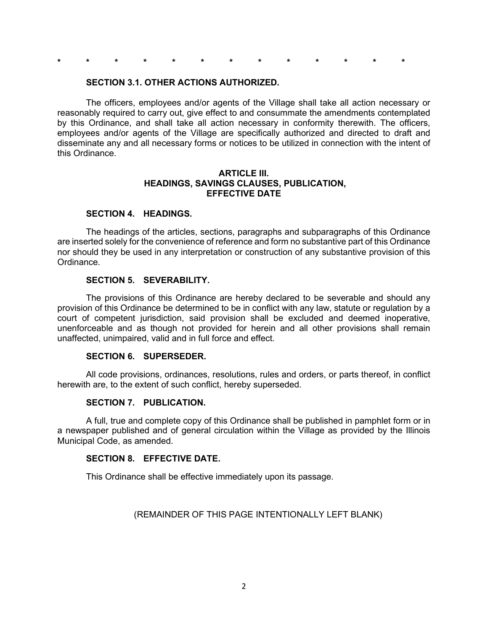**\* \* \* \* \* \* \* \* \* \* \* \* \***

#### **SECTION 3.1. OTHER ACTIONS AUTHORIZED.**

The officers, employees and/or agents of the Village shall take all action necessary or reasonably required to carry out, give effect to and consummate the amendments contemplated by this Ordinance, and shall take all action necessary in conformity therewith. The officers, employees and/or agents of the Village are specifically authorized and directed to draft and disseminate any and all necessary forms or notices to be utilized in connection with the intent of this Ordinance.

## **ARTICLE III. HEADINGS, SAVINGS CLAUSES, PUBLICATION, EFFECTIVE DATE**

#### **SECTION 4. HEADINGS.**

The headings of the articles, sections, paragraphs and subparagraphs of this Ordinance are inserted solely for the convenience of reference and form no substantive part of this Ordinance nor should they be used in any interpretation or construction of any substantive provision of this Ordinance.

#### **SECTION 5. SEVERABILITY.**

The provisions of this Ordinance are hereby declared to be severable and should any provision of this Ordinance be determined to be in conflict with any law, statute or regulation by a court of competent jurisdiction, said provision shall be excluded and deemed inoperative, unenforceable and as though not provided for herein and all other provisions shall remain unaffected, unimpaired, valid and in full force and effect.

# **SECTION 6. SUPERSEDER.**

All code provisions, ordinances, resolutions, rules and orders, or parts thereof, in conflict herewith are, to the extent of such conflict, hereby superseded.

#### **SECTION 7. PUBLICATION.**

A full, true and complete copy of this Ordinance shall be published in pamphlet form or in a newspaper published and of general circulation within the Village as provided by the Illinois Municipal Code, as amended.

#### **SECTION 8. EFFECTIVE DATE.**

This Ordinance shall be effective immediately upon its passage.

(REMAINDER OF THIS PAGE INTENTIONALLY LEFT BLANK)